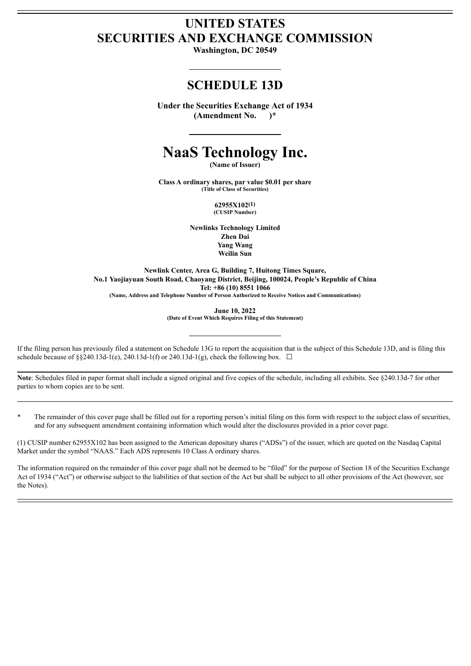# **UNITED STATES SECURITIES AND EXCHANGE COMMISSION**

**Washington, DC 20549**

# **SCHEDULE 13D**

**Under the Securities Exchange Act of 1934 (Amendment No. )\***

# **NaaS Technology Inc.**

**(Name of Issuer)**

**Class A ordinary shares, par value \$0.01 per share (Title of Class of Securities)**

> **62955X102(1) (CUSIP Number)**

**Newlinks Technology Limited Zhen Dai Yang Wang Weilin Sun**

**Newlink Center, Area G, Building 7, Huitong Times Square, No.1 Yaojiayuan South Road, Chaoyang District, Beijing, 100024, People's Republic of China Tel: +86 (10) 8551 1066 (Name, Address and Telephone Number of Person Authorized to Receive Notices and Communications)**

**June 10, 2022**

**(Date of Event Which Requires Filing of this Statement)**

If the filing person has previously filed a statement on Schedule 13G to report the acquisition that is the subject of this Schedule 13D, and is filing this schedule because of §§240.13d-1(e), 240.13d-1(f) or 240.13d-1(g), check the following box.  $\Box$ 

**Note**: Schedules filed in paper format shall include a signed original and five copies of the schedule, including all exhibits. See §240.13d-7 for other parties to whom copies are to be sent.

The remainder of this cover page shall be filled out for a reporting person's initial filing on this form with respect to the subject class of securities, and for any subsequent amendment containing information which would alter the disclosures provided in a prior cover page.

(1) CUSIP number 62955X102 has been assigned to the American depositary shares ("ADSs") of the issuer, which are quoted on the Nasdaq Capital Market under the symbol "NAAS." Each ADS represents 10 Class A ordinary shares.

The information required on the remainder of this cover page shall not be deemed to be "filed" for the purpose of Section 18 of the Securities Exchange Act of 1934 ("Act") or otherwise subject to the liabilities of that section of the Act but shall be subject to all other provisions of the Act (however, see the Notes).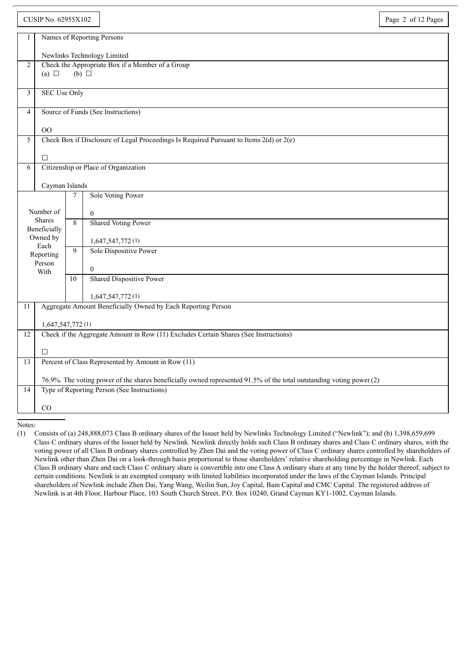|                                            | CUSIP No. 62955X102                                                                                      |                                                                                             |                                                                                                                                                                     | Page 2 of 12 Pages |  |  |  |
|--------------------------------------------|----------------------------------------------------------------------------------------------------------|---------------------------------------------------------------------------------------------|---------------------------------------------------------------------------------------------------------------------------------------------------------------------|--------------------|--|--|--|
| $\mathbf{1}$                               | Names of Reporting Persons                                                                               |                                                                                             |                                                                                                                                                                     |                    |  |  |  |
|                                            | Newlinks Technology Limited                                                                              |                                                                                             |                                                                                                                                                                     |                    |  |  |  |
| 2                                          | Check the Appropriate Box if a Member of a Group                                                         |                                                                                             |                                                                                                                                                                     |                    |  |  |  |
|                                            | $(b)$ $\square$<br>(a) $\Box$                                                                            |                                                                                             |                                                                                                                                                                     |                    |  |  |  |
| 3                                          | <b>SEC Use Only</b>                                                                                      |                                                                                             |                                                                                                                                                                     |                    |  |  |  |
|                                            |                                                                                                          |                                                                                             |                                                                                                                                                                     |                    |  |  |  |
| 4                                          | Source of Funds (See Instructions)                                                                       |                                                                                             |                                                                                                                                                                     |                    |  |  |  |
|                                            | 00                                                                                                       |                                                                                             |                                                                                                                                                                     |                    |  |  |  |
| 5                                          |                                                                                                          | Check Box if Disclosure of Legal Proceedings Is Required Pursuant to Items $2(d)$ or $2(e)$ |                                                                                                                                                                     |                    |  |  |  |
|                                            | □                                                                                                        |                                                                                             |                                                                                                                                                                     |                    |  |  |  |
| 6                                          | Citizenship or Place of Organization                                                                     |                                                                                             |                                                                                                                                                                     |                    |  |  |  |
| Cayman Islands                             |                                                                                                          |                                                                                             |                                                                                                                                                                     |                    |  |  |  |
|                                            |                                                                                                          | $\tau$                                                                                      | <b>Sole Voting Power</b>                                                                                                                                            |                    |  |  |  |
| Number of<br><b>Shares</b><br>Beneficially |                                                                                                          |                                                                                             | $\mathbf{0}$                                                                                                                                                        |                    |  |  |  |
|                                            |                                                                                                          | $\overline{8}$                                                                              | <b>Shared Voting Power</b>                                                                                                                                          |                    |  |  |  |
|                                            | Owned by                                                                                                 |                                                                                             | 1,647,547,772(1)                                                                                                                                                    |                    |  |  |  |
|                                            | Each<br>Reporting                                                                                        | 9                                                                                           | Sole Dispositive Power                                                                                                                                              |                    |  |  |  |
|                                            | Person<br>With                                                                                           |                                                                                             | $\theta$                                                                                                                                                            |                    |  |  |  |
|                                            |                                                                                                          | 10                                                                                          | Shared Dispositive Power                                                                                                                                            |                    |  |  |  |
|                                            |                                                                                                          |                                                                                             | 1,647,547,772(1)                                                                                                                                                    |                    |  |  |  |
| 11                                         | Aggregate Amount Beneficially Owned by Each Reporting Person                                             |                                                                                             |                                                                                                                                                                     |                    |  |  |  |
|                                            |                                                                                                          |                                                                                             |                                                                                                                                                                     |                    |  |  |  |
| 12                                         | 1,647,547,772(1)<br>Check if the Aggregate Amount in Row (11) Excludes Certain Shares (See Instructions) |                                                                                             |                                                                                                                                                                     |                    |  |  |  |
|                                            |                                                                                                          |                                                                                             |                                                                                                                                                                     |                    |  |  |  |
| 13                                         | □<br>Percent of Class Represented by Amount in Row (11)                                                  |                                                                                             |                                                                                                                                                                     |                    |  |  |  |
|                                            |                                                                                                          |                                                                                             |                                                                                                                                                                     |                    |  |  |  |
| 14                                         |                                                                                                          |                                                                                             | 76.9%. The voting power of the shares beneficially owned represented 91.5% of the total outstanding voting power.(2)<br>Type of Reporting Person (See Instructions) |                    |  |  |  |
|                                            |                                                                                                          |                                                                                             |                                                                                                                                                                     |                    |  |  |  |
|                                            | CO                                                                                                       |                                                                                             |                                                                                                                                                                     |                    |  |  |  |

<sup>(1)</sup> Consists of (a) 248,888,073 Class B ordinary shares of the Issuer held by Newlinks Technology Limited ("Newlink"); and (b) 1,398,659,699 Class C ordinary shares of the Issuer held by Newlink. Newlink directly holds such Class B ordinary shares and Class C ordinary shares, with the voting power of all Class B ordinary shares controlled by Zhen Dai and the voting power of Class C ordinary shares controlled by shareholders of Newlink other than Zhen Dai on a look-through basis proportional to those shareholders' relative shareholding percentage in Newlink. Each Class B ordinary share and each Class C ordinary share is convertible into one Class A ordinary share at any time by the holder thereof, subject to certain conditions. Newlink is an exempted company with limited liabilities incorporated under the laws of the Cayman Islands. Principal shareholders of Newlink include Zhen Dai, Yang Wang, Weilin Sun, Joy Capital, Bain Capital and CMC Capital. The registered address of Newlink is at 4th Floor, Harbour Place, 103 South Church Street, P.O. Box 10240, Grand Cayman KY1-1002, Cayman Islands.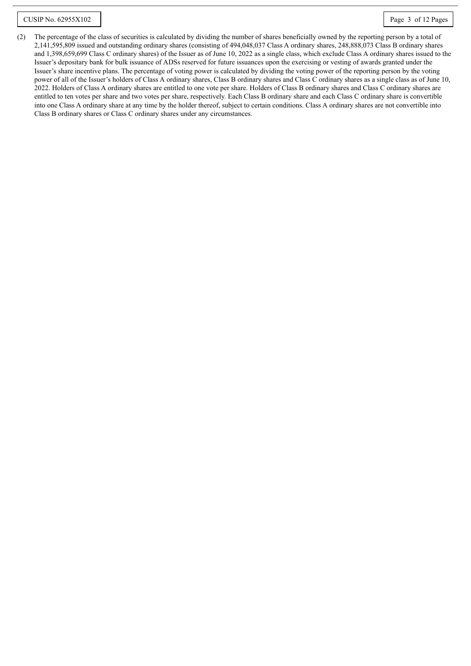(2) The percentage of the class of securities is calculated by dividing the number of shares beneficially owned by the reporting person by a total of 2,141,595,809 issued and outstanding ordinary shares (consisting of 494,048,037 Class A ordinary shares, 248,888,073 Class B ordinary shares and 1,398,659,699 Class C ordinary shares) of the Issuer as of June 10, 2022 as a single class, which exclude Class A ordinary shares issued to the Issuer's depositary bank for bulk issuance of ADSs reserved for future issuances upon the exercising or vesting of awards granted under the Issuer's share incentive plans. The percentage of voting power is calculated by dividing the voting power of the reporting person by the voting power of all of the Issuer's holders of Class A ordinary shares, Class B ordinary shares and Class C ordinary shares as a single class as of June 10, 2022. Holders of Class A ordinary shares are entitled to one vote per share. Holders of Class B ordinary shares and Class C ordinary shares are entitled to ten votes per share and two votes per share, respectively. Each Class B ordinary share and each Class C ordinary share is convertible into one Class A ordinary share at any time by the holder thereof, subject to certain conditions. Class A ordinary shares are not convertible into Class B ordinary shares or Class C ordinary shares under any circumstances.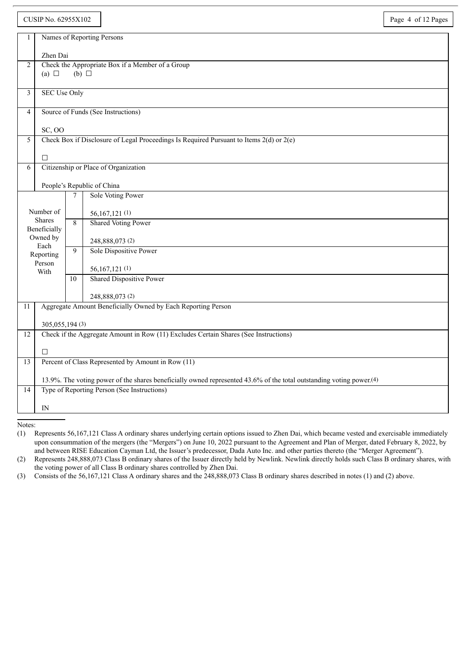|                | <b>CUSIP No. 62955X102</b>                                                                                                       |                 |                                                                                         | Page 4 of 12 Pages |  |
|----------------|----------------------------------------------------------------------------------------------------------------------------------|-----------------|-----------------------------------------------------------------------------------------|--------------------|--|
| 1              |                                                                                                                                  |                 | Names of Reporting Persons                                                              |                    |  |
|                |                                                                                                                                  |                 |                                                                                         |                    |  |
| $\overline{2}$ | Zhen Dai                                                                                                                         |                 | Check the Appropriate Box if a Member of a Group                                        |                    |  |
|                | (a) $\Box$                                                                                                                       | $(b)$ $\square$ |                                                                                         |                    |  |
|                |                                                                                                                                  |                 |                                                                                         |                    |  |
| 3              | <b>SEC Use Only</b>                                                                                                              |                 |                                                                                         |                    |  |
| $\overline{4}$ | Source of Funds (See Instructions)                                                                                               |                 |                                                                                         |                    |  |
|                | <b>SC, OO</b>                                                                                                                    |                 |                                                                                         |                    |  |
| 5              |                                                                                                                                  |                 | Check Box if Disclosure of Legal Proceedings Is Required Pursuant to Items 2(d) or 2(e) |                    |  |
|                |                                                                                                                                  |                 |                                                                                         |                    |  |
|                | $\Box$                                                                                                                           |                 |                                                                                         |                    |  |
| 6              |                                                                                                                                  |                 | Citizenship or Place of Organization                                                    |                    |  |
|                | People's Republic of China                                                                                                       |                 |                                                                                         |                    |  |
|                |                                                                                                                                  | $\tau$          | Sole Voting Power                                                                       |                    |  |
|                | Number of                                                                                                                        |                 |                                                                                         |                    |  |
|                | Shares                                                                                                                           | 8               | 56,167,121(1)<br><b>Shared Voting Power</b>                                             |                    |  |
|                | Beneficially                                                                                                                     |                 |                                                                                         |                    |  |
|                | Owned by<br>Each                                                                                                                 | 9               | 248,888,073 (2)                                                                         |                    |  |
|                | Reporting                                                                                                                        |                 | Sole Dispositive Power                                                                  |                    |  |
|                | Person<br>With                                                                                                                   |                 | 56, 167, 121 (1)                                                                        |                    |  |
|                |                                                                                                                                  | 10              | <b>Shared Dispositive Power</b>                                                         |                    |  |
|                |                                                                                                                                  |                 | 248,888,073 (2)                                                                         |                    |  |
| 11             |                                                                                                                                  |                 | Aggregate Amount Beneficially Owned by Each Reporting Person                            |                    |  |
|                |                                                                                                                                  |                 |                                                                                         |                    |  |
|                | 305,055,194 (3)                                                                                                                  |                 |                                                                                         |                    |  |
| 12             |                                                                                                                                  |                 | Check if the Aggregate Amount in Row (11) Excludes Certain Shares (See Instructions)    |                    |  |
|                | П                                                                                                                                |                 |                                                                                         |                    |  |
| 13             |                                                                                                                                  |                 | Percent of Class Represented by Amount in Row (11)                                      |                    |  |
|                | 13.9%. The voting power of the shares beneficially owned represented 43.6% of the total outstanding voting power. <sup>(4)</sup> |                 |                                                                                         |                    |  |
| 14             |                                                                                                                                  |                 | Type of Reporting Person (See Instructions)                                             |                    |  |
|                |                                                                                                                                  |                 |                                                                                         |                    |  |
|                | IN                                                                                                                               |                 |                                                                                         |                    |  |

<sup>(1)</sup> Represents 56,167,121 Class A ordinary shares underlying certain options issued to Zhen Dai, which became vested and exercisable immediately upon consummation of the mergers (the "Mergers") on June 10, 2022 pursuant to the Agreement and Plan of Merger, dated February 8, 2022, by and between RISE Education Cayman Ltd, the Issuer's predecessor, Dada Auto Inc. and other parties thereto (the "Merger Agreement").

<sup>(2)</sup> Represents 248,888,073 Class B ordinary shares of the Issuer directly held by Newlink. Newlink directly holds such Class B ordinary shares, with the voting power of all Class B ordinary shares controlled by Zhen Dai.

<sup>(3)</sup> Consists of the 56,167,121 Class A ordinary shares and the 248,888,073 Class B ordinary shares described in notes (1) and (2) above.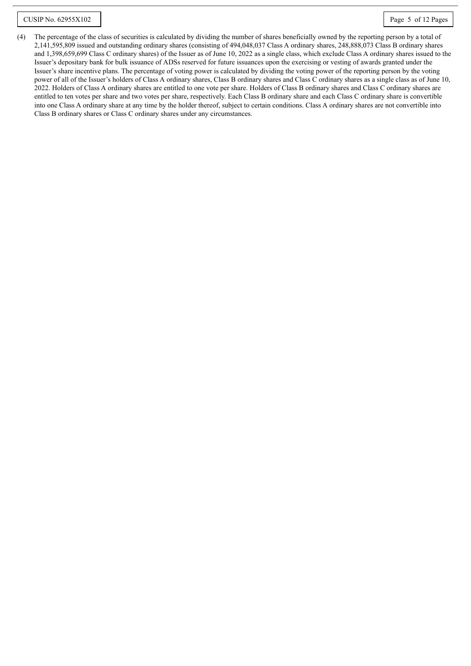(4) The percentage of the class of securities is calculated by dividing the number of shares beneficially owned by the reporting person by a total of 2,141,595,809 issued and outstanding ordinary shares (consisting of 494,048,037 Class A ordinary shares, 248,888,073 Class B ordinary shares and 1,398,659,699 Class C ordinary shares) of the Issuer as of June 10, 2022 as a single class, which exclude Class A ordinary shares issued to the Issuer's depositary bank for bulk issuance of ADSs reserved for future issuances upon the exercising or vesting of awards granted under the Issuer's share incentive plans. The percentage of voting power is calculated by dividing the voting power of the reporting person by the voting power of all of the Issuer's holders of Class A ordinary shares, Class B ordinary shares and Class C ordinary shares as a single class as of June 10, 2022. Holders of Class A ordinary shares are entitled to one vote per share. Holders of Class B ordinary shares and Class C ordinary shares are entitled to ten votes per share and two votes per share, respectively. Each Class B ordinary share and each Class C ordinary share is convertible into one Class A ordinary share at any time by the holder thereof, subject to certain conditions. Class A ordinary shares are not convertible into Class B ordinary shares or Class C ordinary shares under any circumstances.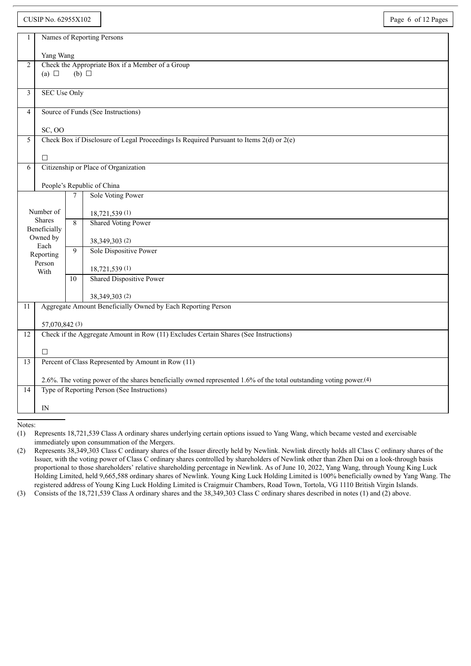|                                                      | <b>CUSIP No. 62955X102</b>                                                                                                     |                 |                                                                                             | Page 6 of 12 Pages |
|------------------------------------------------------|--------------------------------------------------------------------------------------------------------------------------------|-----------------|---------------------------------------------------------------------------------------------|--------------------|
| 1                                                    |                                                                                                                                |                 | Names of Reporting Persons                                                                  |                    |
|                                                      |                                                                                                                                |                 |                                                                                             |                    |
| 2                                                    | Yang Wang                                                                                                                      |                 | Check the Appropriate Box if a Member of a Group                                            |                    |
|                                                      | (a) $\Box$                                                                                                                     | $(b)$ $\square$ |                                                                                             |                    |
|                                                      |                                                                                                                                |                 |                                                                                             |                    |
|                                                      | <b>SEC Use Only</b><br>3                                                                                                       |                 |                                                                                             |                    |
| Source of Funds (See Instructions)<br>$\overline{4}$ |                                                                                                                                |                 |                                                                                             |                    |
|                                                      |                                                                                                                                |                 |                                                                                             |                    |
| 5                                                    | <b>SC, OO</b>                                                                                                                  |                 | Check Box if Disclosure of Legal Proceedings Is Required Pursuant to Items $2(d)$ or $2(e)$ |                    |
|                                                      |                                                                                                                                |                 |                                                                                             |                    |
|                                                      | $\Box$                                                                                                                         |                 |                                                                                             |                    |
|                                                      | Citizenship or Place of Organization<br>6                                                                                      |                 |                                                                                             |                    |
|                                                      | People's Republic of China                                                                                                     |                 |                                                                                             |                    |
|                                                      |                                                                                                                                | $\tau$          | Sole Voting Power                                                                           |                    |
|                                                      | Number of                                                                                                                      |                 | 18,721,539 (1)                                                                              |                    |
| <b>Shares</b>                                        |                                                                                                                                | $\overline{8}$  | <b>Shared Voting Power</b>                                                                  |                    |
|                                                      | Beneficially<br>Owned by                                                                                                       |                 |                                                                                             |                    |
|                                                      | Each                                                                                                                           | 9               | 38, 349, 303 (2)                                                                            |                    |
|                                                      | Reporting                                                                                                                      |                 | Sole Dispositive Power                                                                      |                    |
|                                                      | Person<br>With                                                                                                                 |                 | 18,721,539 (1)                                                                              |                    |
|                                                      |                                                                                                                                | 10              | <b>Shared Dispositive Power</b>                                                             |                    |
|                                                      |                                                                                                                                |                 | 38,349,303 (2)                                                                              |                    |
| 11                                                   |                                                                                                                                |                 | Aggregate Amount Beneficially Owned by Each Reporting Person                                |                    |
|                                                      |                                                                                                                                |                 |                                                                                             |                    |
| 12                                                   | 57,070,842 (3)<br>Check if the Aggregate Amount in Row (11) Excludes Certain Shares (See Instructions)                         |                 |                                                                                             |                    |
|                                                      |                                                                                                                                |                 |                                                                                             |                    |
|                                                      | $\Box$                                                                                                                         |                 |                                                                                             |                    |
| 13                                                   |                                                                                                                                |                 | Percent of Class Represented by Amount in Row (11)                                          |                    |
|                                                      | 2.6%. The voting power of the shares beneficially owned represented 1.6% of the total outstanding voting power. <sup>(4)</sup> |                 |                                                                                             |                    |
| 14                                                   |                                                                                                                                |                 | Type of Reporting Person (See Instructions)                                                 |                    |
|                                                      |                                                                                                                                |                 |                                                                                             |                    |
|                                                      | IN                                                                                                                             |                 |                                                                                             |                    |

<sup>(1)</sup> Represents 18,721,539 Class A ordinary shares underlying certain options issued to Yang Wang, which became vested and exercisable immediately upon consummation of the Mergers.

<sup>(2)</sup> Represents 38,349,303 Class C ordinary shares of the Issuer directly held by Newlink. Newlink directly holds all Class C ordinary shares of the Issuer, with the voting power of Class C ordinary shares controlled by shareholders of Newlink other than Zhen Dai on a look-through basis proportional to those shareholders' relative shareholding percentage in Newlink. As of June 10, 2022, Yang Wang, through Young King Luck Holding Limited, held 9,665,588 ordinary shares of Newlink. Young King Luck Holding Limited is 100% beneficially owned by Yang Wang. The registered address of Young King Luck Holding Limited is Craigmuir Chambers, Road Town, Tortola, VG 1110 British Virgin Islands.

<sup>(3)</sup> Consists of the 18,721,539 Class A ordinary shares and the 38,349,303 Class C ordinary shares described in notes (1) and (2) above.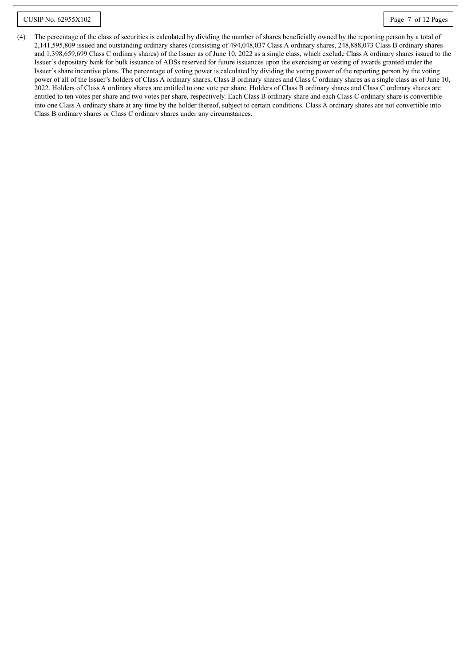(4) The percentage of the class of securities is calculated by dividing the number of shares beneficially owned by the reporting person by a total of 2,141,595,809 issued and outstanding ordinary shares (consisting of 494,048,037 Class A ordinary shares, 248,888,073 Class B ordinary shares and 1,398,659,699 Class C ordinary shares) of the Issuer as of June 10, 2022 as a single class, which exclude Class A ordinary shares issued to the Issuer's depositary bank for bulk issuance of ADSs reserved for future issuances upon the exercising or vesting of awards granted under the Issuer's share incentive plans. The percentage of voting power is calculated by dividing the voting power of the reporting person by the voting power of all of the Issuer's holders of Class A ordinary shares, Class B ordinary shares and Class C ordinary shares as a single class as of June 10, 2022. Holders of Class A ordinary shares are entitled to one vote per share. Holders of Class B ordinary shares and Class C ordinary shares are entitled to ten votes per share and two votes per share, respectively. Each Class B ordinary share and each Class C ordinary share is convertible into one Class A ordinary share at any time by the holder thereof, subject to certain conditions. Class A ordinary shares are not convertible into Class B ordinary shares or Class C ordinary shares under any circumstances.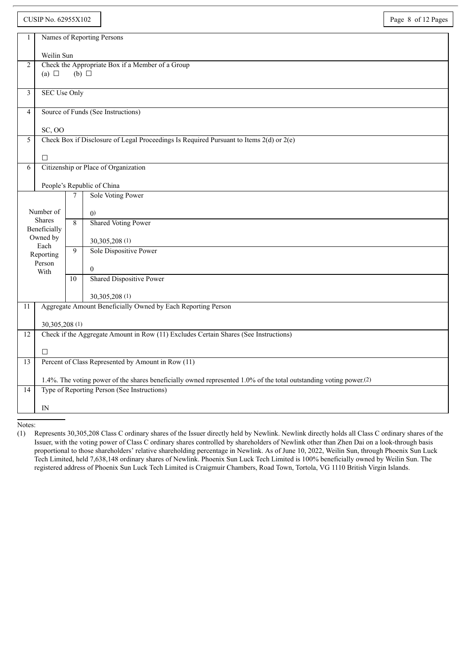|                                                   | CUSIP No. 62955X102                       |                                    |                                                                                                                                | Page 8 of 12 Pages |  |
|---------------------------------------------------|-------------------------------------------|------------------------------------|--------------------------------------------------------------------------------------------------------------------------------|--------------------|--|
| 1                                                 |                                           |                                    | Names of Reporting Persons                                                                                                     |                    |  |
|                                                   |                                           |                                    |                                                                                                                                |                    |  |
| $\overline{2}$                                    | Weilin Sun                                |                                    | Check the Appropriate Box if a Member of a Group                                                                               |                    |  |
|                                                   | (a) $\Box$                                | $(b)$ $\square$                    |                                                                                                                                |                    |  |
|                                                   |                                           |                                    |                                                                                                                                |                    |  |
| 3                                                 | <b>SEC Use Only</b>                       |                                    |                                                                                                                                |                    |  |
| 4                                                 |                                           | Source of Funds (See Instructions) |                                                                                                                                |                    |  |
|                                                   | <b>SC, OO</b>                             |                                    |                                                                                                                                |                    |  |
| 5                                                 |                                           |                                    | Check Box if Disclosure of Legal Proceedings Is Required Pursuant to Items 2(d) or 2(e)                                        |                    |  |
|                                                   |                                           |                                    |                                                                                                                                |                    |  |
|                                                   | П                                         |                                    |                                                                                                                                |                    |  |
|                                                   | Citizenship or Place of Organization<br>6 |                                    |                                                                                                                                |                    |  |
|                                                   |                                           |                                    | People's Republic of China                                                                                                     |                    |  |
|                                                   |                                           | $\tau$                             | Sole Voting Power                                                                                                              |                    |  |
| Number of<br><b>Shares</b><br>Beneficially        |                                           |                                    | (0)                                                                                                                            |                    |  |
|                                                   |                                           | 8                                  | <b>Shared Voting Power</b>                                                                                                     |                    |  |
|                                                   | Owned by                                  |                                    |                                                                                                                                |                    |  |
|                                                   | Each                                      |                                    | 30,305,208 (1)<br>Sole Dispositive Power                                                                                       |                    |  |
|                                                   | Reporting<br>Person                       | 9                                  |                                                                                                                                |                    |  |
|                                                   | With                                      |                                    | $\mathbf{0}$                                                                                                                   |                    |  |
|                                                   |                                           | 10                                 | <b>Shared Dispositive Power</b>                                                                                                |                    |  |
|                                                   |                                           |                                    | 30,305,208 (1)                                                                                                                 |                    |  |
| 11                                                |                                           |                                    | Aggregate Amount Beneficially Owned by Each Reporting Person                                                                   |                    |  |
|                                                   | 30,305,208 (1)                            |                                    |                                                                                                                                |                    |  |
| 12                                                |                                           |                                    | Check if the Aggregate Amount in Row (11) Excludes Certain Shares (See Instructions)                                           |                    |  |
|                                                   |                                           |                                    |                                                                                                                                |                    |  |
| 13                                                | $\Box$                                    |                                    | Percent of Class Represented by Amount in Row (11)                                                                             |                    |  |
|                                                   |                                           |                                    |                                                                                                                                |                    |  |
|                                                   |                                           |                                    | 1.4%. The voting power of the shares beneficially owned represented 1.0% of the total outstanding voting power. <sup>(2)</sup> |                    |  |
| Type of Reporting Person (See Instructions)<br>14 |                                           |                                    |                                                                                                                                |                    |  |
|                                                   | $\mathbb{N}$                              |                                    |                                                                                                                                |                    |  |

<sup>(1)</sup> Represents 30,305,208 Class C ordinary shares of the Issuer directly held by Newlink. Newlink directly holds all Class C ordinary shares of the Issuer, with the voting power of Class C ordinary shares controlled by shareholders of Newlink other than Zhen Dai on a look-through basis proportional to those shareholders' relative shareholding percentage in Newlink. As of June 10, 2022, Weilin Sun, through Phoenix Sun Luck Tech Limited, held 7,638,148 ordinary shares of Newlink. Phoenix Sun Luck Tech Limited is 100% beneficially owned by Weilin Sun. The registered address of Phoenix Sun Luck Tech Limited is Craigmuir Chambers, Road Town, Tortola, VG 1110 British Virgin Islands.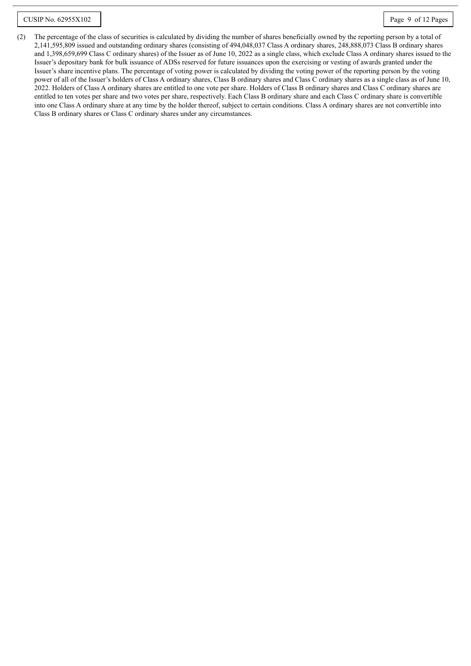(2) The percentage of the class of securities is calculated by dividing the number of shares beneficially owned by the reporting person by a total of 2,141,595,809 issued and outstanding ordinary shares (consisting of 494,048,037 Class A ordinary shares, 248,888,073 Class B ordinary shares and 1,398,659,699 Class C ordinary shares) of the Issuer as of June 10, 2022 as a single class, which exclude Class A ordinary shares issued to the Issuer's depositary bank for bulk issuance of ADSs reserved for future issuances upon the exercising or vesting of awards granted under the Issuer's share incentive plans. The percentage of voting power is calculated by dividing the voting power of the reporting person by the voting power of all of the Issuer's holders of Class A ordinary shares, Class B ordinary shares and Class C ordinary shares as a single class as of June 10, 2022. Holders of Class A ordinary shares are entitled to one vote per share. Holders of Class B ordinary shares and Class C ordinary shares are entitled to ten votes per share and two votes per share, respectively. Each Class B ordinary share and each Class C ordinary share is convertible into one Class A ordinary share at any time by the holder thereof, subject to certain conditions. Class A ordinary shares are not convertible into Class B ordinary shares or Class C ordinary shares under any circumstances.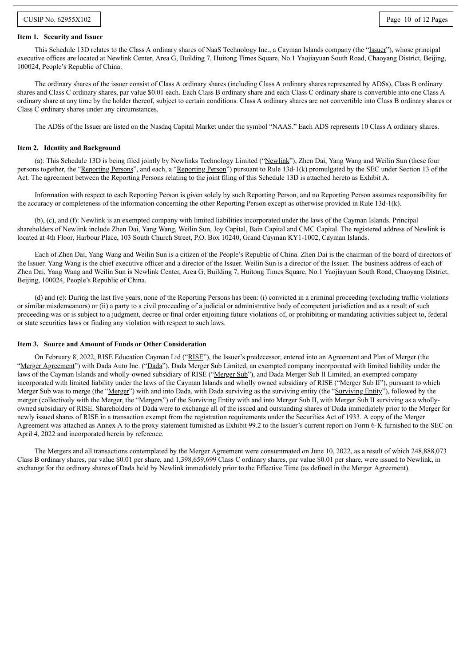#### **Item 1. Security and Issuer**

This Schedule 13D relates to the Class A ordinary shares of NaaS Technology Inc., a Cayman Islands company (the "Issuer"), whose principal executive offices are located at Newlink Center, Area G, Building 7, Huitong Times Square, No.1 Yaojiayuan South Road, Chaoyang District, Beijing, 100024, People's Republic of China.

The ordinary shares of the issuer consist of Class A ordinary shares (including Class A ordinary shares represented by ADSs), Class B ordinary shares and Class C ordinary shares, par value \$0.01 each. Each Class B ordinary share and each Class C ordinary share is convertible into one Class A ordinary share at any time by the holder thereof, subject to certain conditions. Class A ordinary shares are not convertible into Class B ordinary shares or Class C ordinary shares under any circumstances.

The ADSs of the Issuer are listed on the Nasdaq Capital Market under the symbol "NAAS." Each ADS represents 10 Class A ordinary shares.

#### **Item 2. Identity and Background**

(a): This Schedule 13D is being filed jointly by Newlinks Technology Limited ("Newlink"), Zhen Dai, Yang Wang and Weilin Sun (these four persons together, the "Reporting Persons", and each, a "Reporting Person") pursuant to Rule 13d-1(k) promulgated by the SEC under Section 13 of the Act. The agreement between the Reporting Persons relating to the joint filing of this Schedule 13D is attached hereto as Exhibit A.

Information with respect to each Reporting Person is given solely by such Reporting Person, and no Reporting Person assumes responsibility for the accuracy or completeness of the information concerning the other Reporting Person except as otherwise provided in Rule 13d-1(k).

(b), (c), and (f): Newlink is an exempted company with limited liabilities incorporated under the laws of the Cayman Islands. Principal shareholders of Newlink include Zhen Dai, Yang Wang, Weilin Sun, Joy Capital, Bain Capital and CMC Capital. The registered address of Newlink is located at 4th Floor, Harbour Place, 103 South Church Street, P.O. Box 10240, Grand Cayman KY1-1002, Cayman Islands.

Each of Zhen Dai, Yang Wang and Weilin Sun is a citizen of the People's Republic of China. Zhen Dai is the chairman of the board of directors of the Issuer. Yang Wang is the chief executive officer and a director of the Issuer. Weilin Sun is a director of the Issuer. The business address of each of Zhen Dai, Yang Wang and Weilin Sun is Newlink Center, Area G, Building 7, Huitong Times Square, No.1 Yaojiayuan South Road, Chaoyang District, Beijing, 100024, People's Republic of China.

(d) and (e): During the last five years, none of the Reporting Persons has been: (i) convicted in a criminal proceeding (excluding traffic violations or similar misdemeanors) or (ii) a party to a civil proceeding of a judicial or administrative body of competent jurisdiction and as a result of such proceeding was or is subject to a judgment, decree or final order enjoining future violations of, or prohibiting or mandating activities subject to, federal or state securities laws or finding any violation with respect to such laws.

#### **Item 3. Source and Amount of Funds or Other Consideration**

On February 8, 2022, RISE Education Cayman Ltd ("RISE"), the Issuer's predecessor, entered into an Agreement and Plan of Merger (the "Merger Agreement") with Dada Auto Inc. ("Dada"), Dada Merger Sub Limited, an exempted company incorporated with limited liability under the laws of the Cayman Islands and wholly-owned subsidiary of RISE ("Merger Sub"), and Dada Merger Sub II Limited, an exempted company incorporated with limited liability under the laws of the Cayman Islands and wholly owned subsidiary of RISE ("Merger Sub II"), pursuant to which Merger Sub was to merge (the "Merger") with and into Dada, with Dada surviving as the surviving entity (the "Surviving Entity"), followed by the merger (collectively with the Merger, the "Mergers") of the Surviving Entity with and into Merger Sub II, with Merger Sub II surviving as a whollyowned subsidiary of RISE. Shareholders of Dada were to exchange all of the issued and outstanding shares of Dada immediately prior to the Merger for newly issued shares of RISE in a transaction exempt from the registration requirements under the Securities Act of 1933. A copy of the Merger Agreement was attached as Annex A to the proxy statement furnished as Exhibit 99.2 to the Issuer's current report on Form 6-K furnished to the SEC on April 4, 2022 and incorporated herein by reference.

The Mergers and all transactions contemplated by the Merger Agreement were consummated on June 10, 2022, as a result of which 248,888,073 Class B ordinary shares, par value \$0.01 per share, and 1,398,659,699 Class C ordinary shares, par value \$0.01 per share, were issued to Newlink, in exchange for the ordinary shares of Dada held by Newlink immediately prior to the Effective Time (as defined in the Merger Agreement).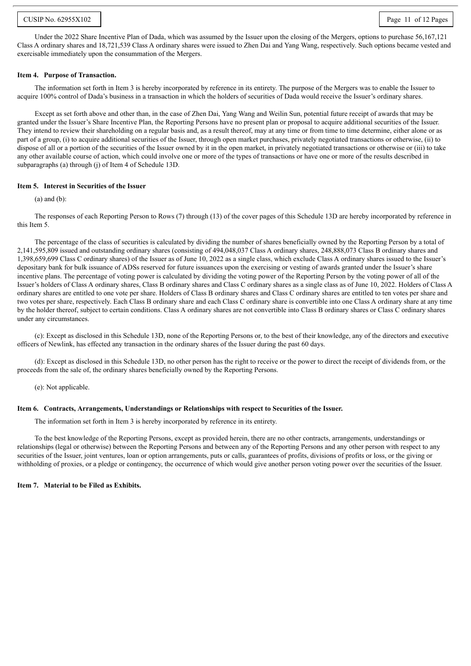#### CUSIP No. 62955X102 Page 11 of 12 Pages

Under the 2022 Share Incentive Plan of Dada, which was assumed by the Issuer upon the closing of the Mergers, options to purchase 56,167,121 Class A ordinary shares and 18,721,539 Class A ordinary shares were issued to Zhen Dai and Yang Wang, respectively. Such options became vested and exercisable immediately upon the consummation of the Mergers.

#### **Item 4. Purpose of Transaction.**

The information set forth in Item 3 is hereby incorporated by reference in its entirety. The purpose of the Mergers was to enable the Issuer to acquire 100% control of Dada's business in a transaction in which the holders of securities of Dada would receive the Issuer's ordinary shares.

Except as set forth above and other than, in the case of Zhen Dai, Yang Wang and Weilin Sun, potential future receipt of awards that may be granted under the Issuer's Share Incentive Plan, the Reporting Persons have no present plan or proposal to acquire additional securities of the Issuer. They intend to review their shareholding on a regular basis and, as a result thereof, may at any time or from time to time determine, either alone or as part of a group, (i) to acquire additional securities of the Issuer, through open market purchases, privately negotiated transactions or otherwise, (ii) to dispose of all or a portion of the securities of the Issuer owned by it in the open market, in privately negotiated transactions or otherwise or (iii) to take any other available course of action, which could involve one or more of the types of transactions or have one or more of the results described in subparagraphs (a) through (j) of Item 4 of Schedule 13D.

#### **Item 5. Interest in Securities of the Issuer**

(a) and (b):

The responses of each Reporting Person to Rows (7) through (13) of the cover pages of this Schedule 13D are hereby incorporated by reference in this Item 5.

The percentage of the class of securities is calculated by dividing the number of shares beneficially owned by the Reporting Person by a total of 2,141,595,809 issued and outstanding ordinary shares (consisting of 494,048,037 Class A ordinary shares, 248,888,073 Class B ordinary shares and 1,398,659,699 Class C ordinary shares) of the Issuer as of June 10, 2022 as a single class, which exclude Class A ordinary shares issued to the Issuer's depositary bank for bulk issuance of ADSs reserved for future issuances upon the exercising or vesting of awards granted under the Issuer's share incentive plans. The percentage of voting power is calculated by dividing the voting power of the Reporting Person by the voting power of all of the Issuer's holders of Class A ordinary shares, Class B ordinary shares and Class C ordinary shares as a single class as of June 10, 2022. Holders of Class A ordinary shares are entitled to one vote per share. Holders of Class B ordinary shares and Class C ordinary shares are entitled to ten votes per share and two votes per share, respectively. Each Class B ordinary share and each Class C ordinary share is convertible into one Class A ordinary share at any time by the holder thereof, subject to certain conditions. Class A ordinary shares are not convertible into Class B ordinary shares or Class C ordinary shares under any circumstances.

(c): Except as disclosed in this Schedule 13D, none of the Reporting Persons or, to the best of their knowledge, any of the directors and executive officers of Newlink, has effected any transaction in the ordinary shares of the Issuer during the past 60 days.

(d): Except as disclosed in this Schedule 13D, no other person has the right to receive or the power to direct the receipt of dividends from, or the proceeds from the sale of, the ordinary shares beneficially owned by the Reporting Persons.

(e): Not applicable.

#### **Item 6. Contracts, Arrangements, Understandings or Relationships with respect to Securities of the Issuer.**

The information set forth in Item 3 is hereby incorporated by reference in its entirety.

To the best knowledge of the Reporting Persons, except as provided herein, there are no other contracts, arrangements, understandings or relationships (legal or otherwise) between the Reporting Persons and between any of the Reporting Persons and any other person with respect to any securities of the Issuer, joint ventures, loan or option arrangements, puts or calls, guarantees of profits, divisions of profits or loss, or the giving or withholding of proxies, or a pledge or contingency, the occurrence of which would give another person voting power over the securities of the Issuer.

#### **Item 7. Material to be Filed as Exhibits.**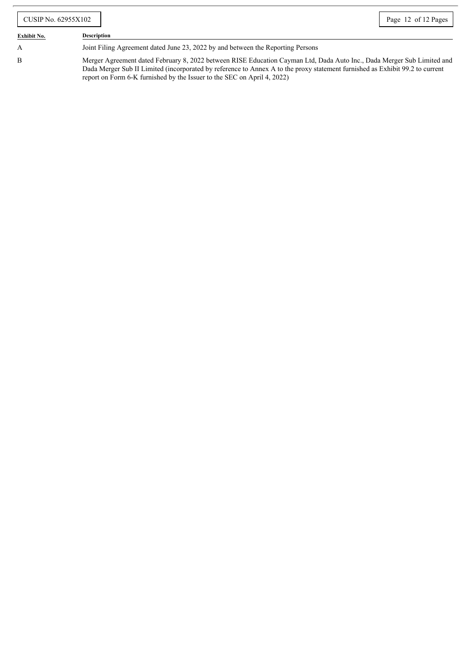| CUSIP No. 62955X102 |                                                                                                                                                                                                                                                                                                                                   | Page 12 of 12 Pages |
|---------------------|-----------------------------------------------------------------------------------------------------------------------------------------------------------------------------------------------------------------------------------------------------------------------------------------------------------------------------------|---------------------|
| <b>Exhibit No.</b>  | <b>Description</b>                                                                                                                                                                                                                                                                                                                |                     |
| A                   | Joint Filing Agreement dated June 23, 2022 by and between the Reporting Persons                                                                                                                                                                                                                                                   |                     |
| B                   | Merger Agreement dated February 8, 2022 between RISE Education Cayman Ltd, Dada Auto Inc., Dada Merger Sub Limited and<br>Dada Merger Sub II Limited (incorporated by reference to Annex A to the proxy statement furnished as Exhibit 99.2 to current<br>report on Form 6-K furnished by the Issuer to the SEC on April 4, 2022) |                     |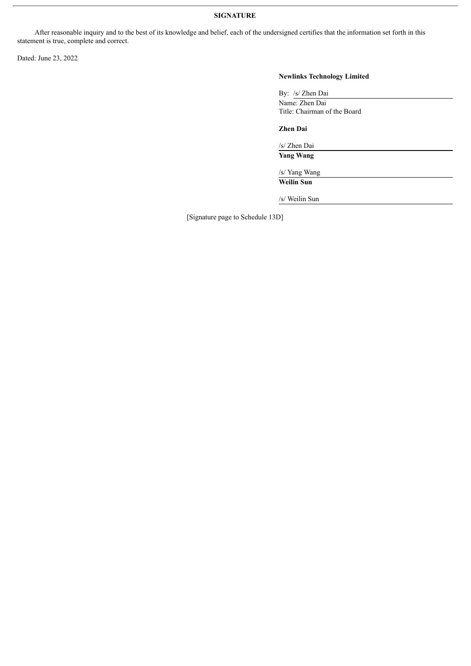### **SIGNATURE**

After reasonable inquiry and to the best of its knowledge and belief, each of the undersigned certifies that the information set forth in this statement is true, complete and correct.

Dated: June 23, 2022

## **Newlinks Technology Limited**

| By: /s/ Zhen Dai             |  |
|------------------------------|--|
| Name: Zhen Dai               |  |
| Title: Chairman of the Board |  |

**Zhen Dai**

/s/ Zhen Dai

**Yang Wang**

/s/ Yang Wang **Weilin Sun**

/s/ Weilin Sun

[Signature page to Schedule 13D]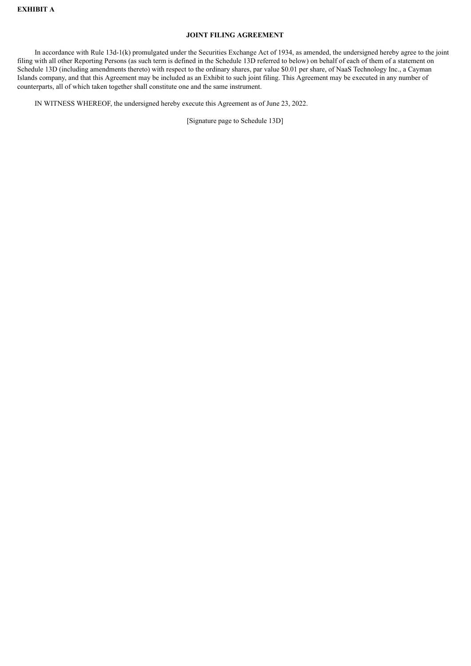#### **JOINT FILING AGREEMENT**

In accordance with Rule 13d-1(k) promulgated under the Securities Exchange Act of 1934, as amended, the undersigned hereby agree to the joint filing with all other Reporting Persons (as such term is defined in the Schedule 13D referred to below) on behalf of each of them of a statement on Schedule 13D (including amendments thereto) with respect to the ordinary shares, par value \$0.01 per share, of NaaS Technology Inc., a Cayman Islands company, and that this Agreement may be included as an Exhibit to such joint filing. This Agreement may be executed in any number of counterparts, all of which taken together shall constitute one and the same instrument.

IN WITNESS WHEREOF, the undersigned hereby execute this Agreement as of June 23, 2022.

[Signature page to Schedule 13D]